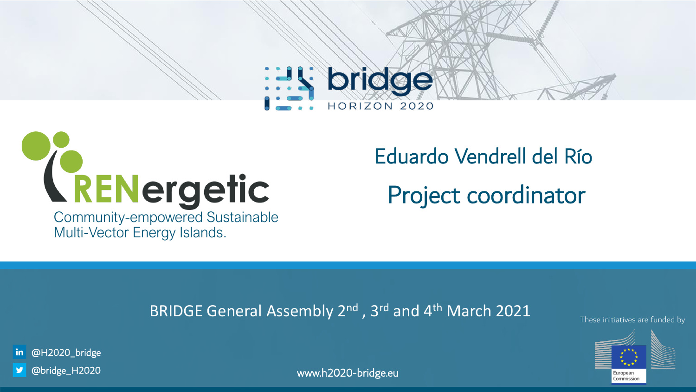



Multi-Vector Energy Islands.

Eduardo Vendrell del Río Project coordinator

## BRIDGE General Assembly 2<sup>nd</sup>, 3<sup>rd</sup> and 4<sup>th</sup> March 2021 These initiatives are funded by



in @H2020\_bridge

@bridge\_H2020

www.h2020-bridge.eu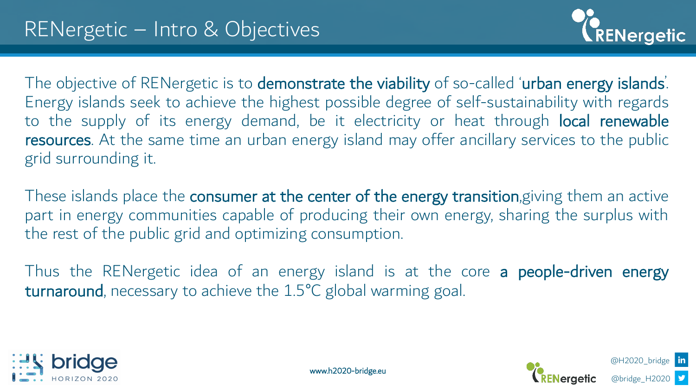

@H2020\_bridge

@bridge\_H2020

The objective of RENergetic is to demonstrate the viability of so-called 'urban energy islands'. Energy islands seek to achieve the highest possible degree of self-sustainability with regards to the supply of its energy demand, be it electricity or heat through local renewable resources. At the same time an urban energy island may offer ancillary services to the public grid surrounding it.

These islands place the **consumer at the center of the energy transition**, giving them an active part in energy communities capable of producing their own energy, sharing the surplus with the rest of the public grid and optimizing consumption.

Thus the RENergetic idea of an energy island is at the core a people-driven energy turnaround, necessary to achieve the 1.5°C global warming goal.





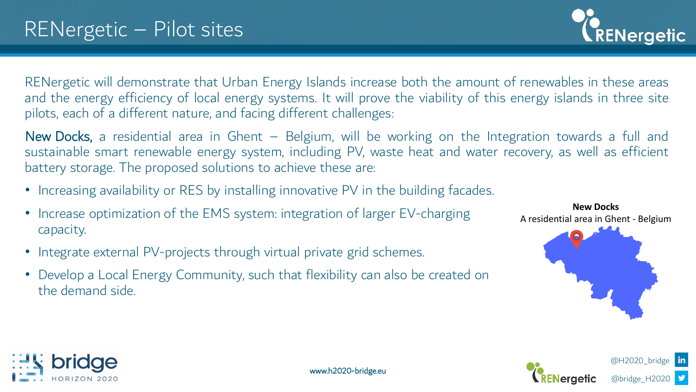

RENergetic will demonstrate that Urban Energy Islands increase both the amount of renewables in these areas and the energy efficiency of local energy systems. It will prove the viability of this energy islands in three site pilots, each of a different nature, and facing different challenges:

New Docks, a residential area in Ghent - Belgium, will be working on the Integration towards a full and sustainable smart renewable energy system, including PV, waste heat and water recovery, as well as efficient battery storage. The proposed solutions to achieve these are:

www.h2020-bridge.eu

- Increasing availability or RES by installing innovative PV in the building facades.
- Increase optimization of the EMS system: integration of larger EV-charging capacity.
- Integrate external PV-projects through virtual private grid schemes.
- Develop a Local Energy Community, such that flexibility can also be created on the demand side.



@H2020\_bridge

@bridge\_H2020



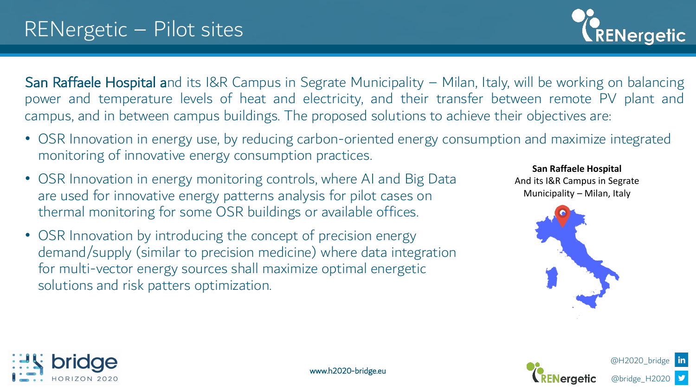San Raffaele Hospital and its I&R Campus in Segrate Municipality – Milan, Italy, will be working on balancing power and temperature levels of heat and electricity, and their transfer between remote PV plant and campus, and in between campus buildings. The proposed solutions to achieve their objectives are:

• OSR Innovation in energy use, by reducing carbon-oriented energy consumption and maximize integrated monitoring of innovative energy consumption practices.

www.h2020-bridge.eu

- OSR Innovation in energy monitoring controls, where AI and Big Data are used for innovative energy patterns analysis for pilot cases on thermal monitoring for some OSR buildings or available offices.
- OSR Innovation by introducing the concept of precision energy demand/supply (similar to precision medicine) where data integration for multi-vector energy sources shall maximize optimal energetic solutions and risk patters optimization.

**San Raffaele Hospital** And its I&R Campus in Segrate Municipality – Milan, Italy

**ENergetic** 





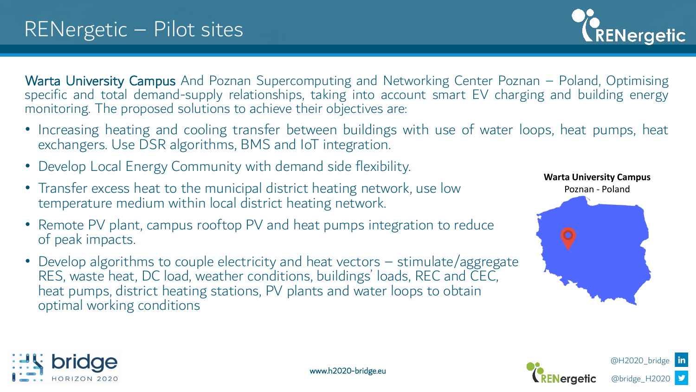RENergetic

Warta University Campus And Poznan Supercomputing and Networking Center Poznan - Poland, Optimising specific and total demand-supply relationships, taking into account smart EV charging and building energy monitoring. The proposed solutions to achieve their objectives are:

- Increasing heating and cooling transfer between buildings with use of water loops, heat pumps, heat exchangers. Use DSR algorithms, BMS and IoT integration.
- Develop Local Energy Community with demand side flexibility.
- Transfer excess heat to the municipal district heating network, use low temperature medium within local district heating network.
- Remote PV plant, campus rooftop PV and heat pumps integration to reduce of peak impacts.
- Develop algorithms to couple electricity and heat vectors stimulate/aggregate RES, waste heat, DC load, weather conditions, buildings' loads, REC and CEC, heat pumps, district heating stations, PV plants and water loops to obtain optimal working conditions







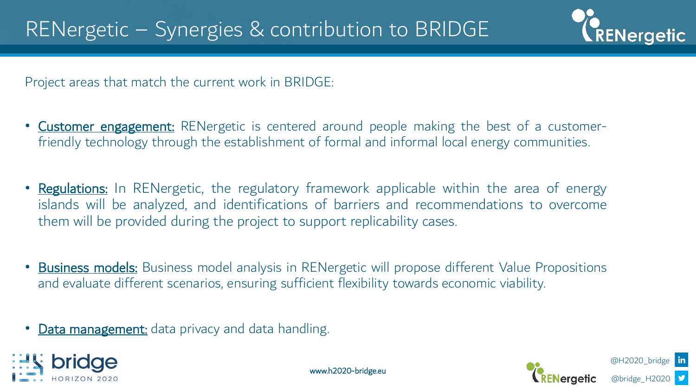

Project areas that match the current work in BRIDGE:

- **Customer engagement:** RENergetic is centered around people making the best of a customerfriendly technology through the establishment of formal and informal local energy communities.
- Regulations: In RENergetic, the regulatory framework applicable within the area of energy islands will be analyzed, and identifications of barriers and recommendations to overcome them will be provided during the project to support replicability cases.
- **Business models:** Business model analysis in RENergetic will propose different Value Propositions and evaluate different scenarios, ensuring sufficient flexibility towards economic viability.

• Data management: data privacy and data handling.





@H2020\_bridge @bridge\_H2